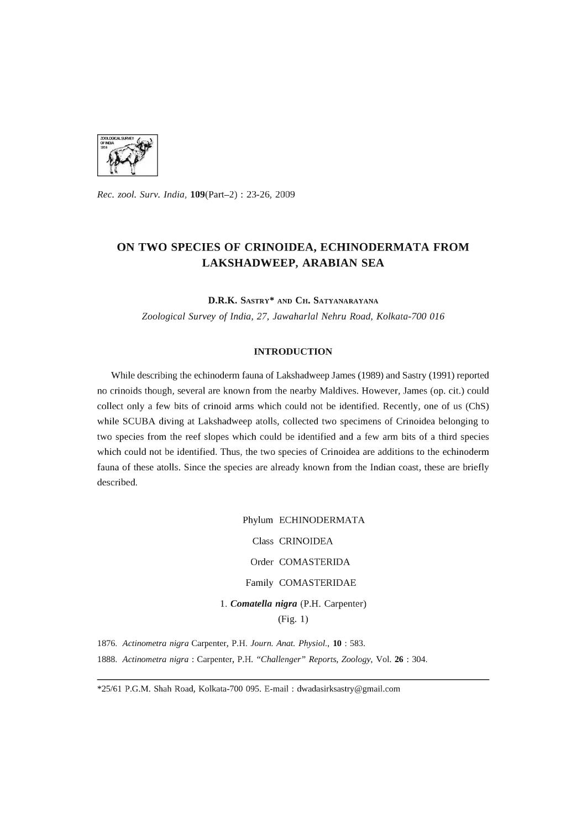

*Rec. zool. Surv. India,* l09(Part-2) : 23-26, 2009

# **ON TWO SPECIES OF CRINOIDEA, ECHINODERMATA FROM LAKSHADWEEP, ARABIAN SEA**

**D.R.K.** SASTRY\* AND **CH.** SATYANARAYANA

*Zoological Survey* of *India,* 27, *lawaharlal Nehru Road, Kolkata-700 016* 

## **INTRODUCTION**

While describing the echinoderm fauna of Lakshadweep James (1989) and Sastry (1991) reported no crinoids though, several are known from the nearby Maldives. However, James (op. cit.) could collect only a few bits of crinoid arms which could not be identified. Recently, one of us (ChS) while SCUBA diving at Lakshadweep atolls, collected two specimens of Crinoidea belonging to two species from the reef slopes which could be identified and a few arm bits of a third species which could not be identified. Thus, the two species of Crinoidea are additions to the echinoderm fauna of these atolls. Since the species are already known from the Indian coast, these are briefly described.

> Phylum ECHINODERMATA Class CRINOIDEA Order COMASTERIDA Family COMASTERIDAE 1. *Comatella nigra* (P.H. Carpenter)

(Fig. 1)

*1876. Actinometra nigra* Carpenter, P.B. *Journ. Anat. Physiol.,* **10** : 583. *1888. Actinometra nigra:* Carpenter, P.B. *"Challenger" Reports, Zoology,* VoL **26** : 304.

\*25/61 P.G.M. Shah Road, Kolkata-700 095. E-mail: dwadasirksastry@gmaiLcom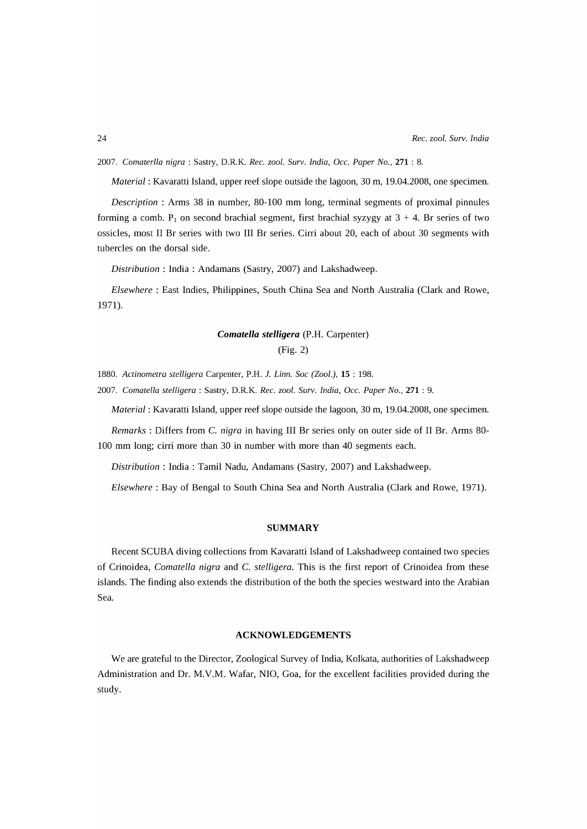*2007. Comaterlla nigra:* Sastry, D.R.K. *Rec. zoo1. Surv. India, Gcc. Paper No.,* 271 : 8.

*Material:* Kavaratti Island, upper reef slope outside the lagoon, 30 m, 19.04.2008, one specimen.

*Description* : Arms 38 in number, 80-100 mm long, terminal segments of proximal pinnules forming a comb.  $P_1$  on second brachial segment, first brachial syzygy at  $3 + 4$ . Br series of two ossicles, most II Br series with two III Br series. Cirri about 20, each of about 30 segments with tubercles on the dorsal side.

*Distribution:* India: Andamans (Sastry, 2007) and Lakshadweep.

*Elsewhere:* East Indies, Philippines, South China Sea and North Australia (Clark and Rowe, 1971).

## *Comatella stelligera* (P.H. Carpenter)

(Fig. 2)

*1880. Actinometra stelligera* Carpenter, P.H. 1. *Linn. Soc (Zoo1.),* **15** : 198.

*2007. Comatella stelligera* : Sastry, D.R.K. *Rec. zoo1. Surv. India, Gcc. Paper No.,* 271 : 9.

*Material:* Kavaratti Island, upper reef slope outside the lagoon, 30 m, 19.04.2008, one specimen.

*Remarks* : Differs from C. *nigra* in having III Br series only on outer side of II Br. Arms 80- 100 mm long; cirri more than 30 in number with more than 40 segments each.

*Distribution:* India: Tamil Nadu, Andamans (Sastry, 2007) and Lakshadweep.

*Elsewhere:* Bay of Bengal to South China Sea and North Australia (Clark and Rowe, 1971).

#### **SUMMARY**

Recent SCUBA diving collections from Kavaratti Island of Lakshadweep contained two species of Crinoidea, *Comatella nigra* and C. *stelligera.* This is the first report of Crinoidea from these islands. The finding also extends the distribution of the both the species westward into the Arabian Sea.

### **ACKNOWLEDGEMENTS**

We are grateful to the Director, Zoological Survey of India, Kolkata, authorities of Lakshadweep Administration and Dr. M.V.M. Wafar, NIO, Goa, for the excellent facilities provided during the study.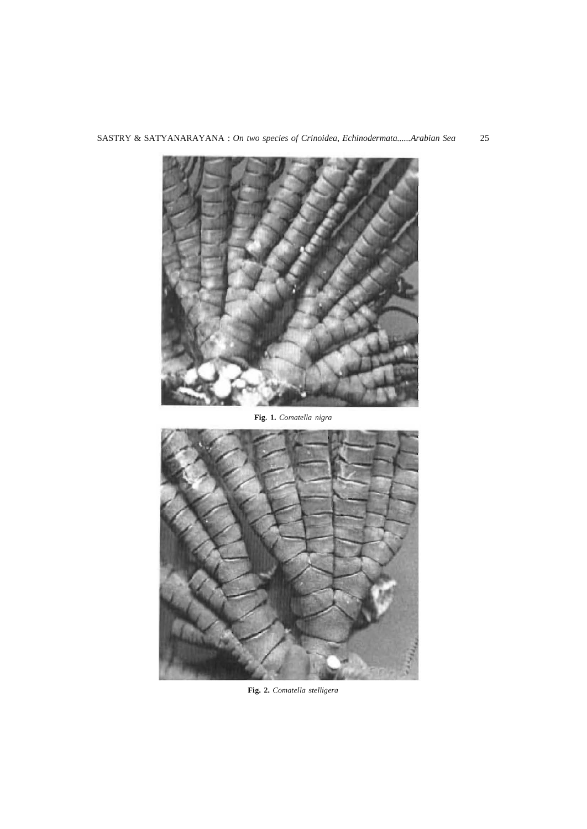

SASTRY & SATYANARAYANA : *On* two *species of Crinoidea, Echinodermata ...... Arabian Sea* 25

**Fig. 1.** *Comatella nigra* 



**Fig. 2.** *Comatella stelligera*